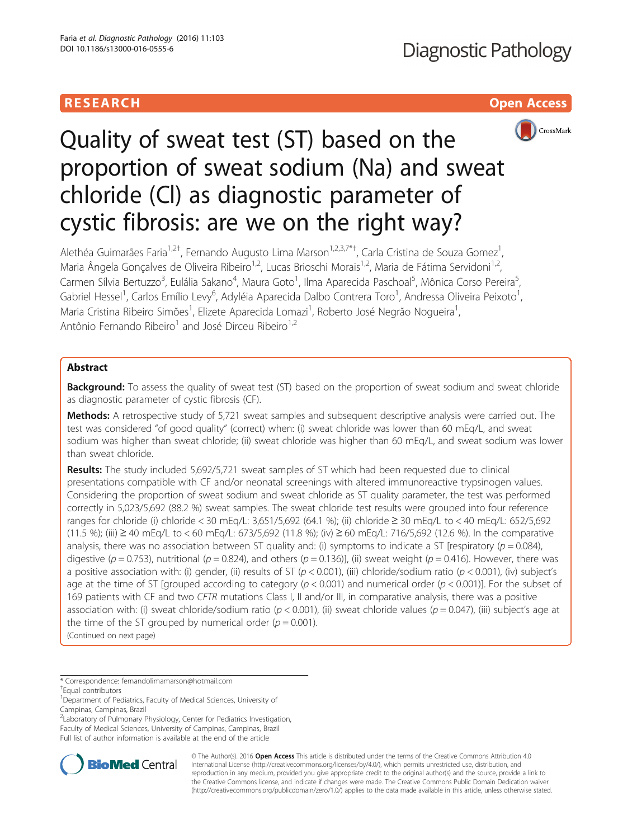## RESEARCH **RESEARCH CHOOSE ACCESS**



# Quality of sweat test (ST) based on the proportion of sweat sodium (Na) and sweat chloride (Cl) as diagnostic parameter of cystic fibrosis: are we on the right way?

Alethéa Guimarães Faria<sup>1,2†</sup>, Fernando Augusto Lima Marson<sup>1,2,3,7\*†</sup>, Carla Cristina de Souza Gomez<sup>1</sup> , Maria Ângela Goncalves de Oliveira Ribeiro<sup>1,2</sup>, Lucas Brioschi Morais<sup>1,2</sup>, Maria de Fátima Servidoni<sup>1,2</sup>, Carmen Sílvia Bertuzzo<sup>3</sup>, Eulália Sakano<sup>4</sup>, Maura Goto<sup>1</sup>, Ilma Aparecida Paschoal<sup>5</sup>, Mônica Corso Pereira<sup>5</sup> , Gabriel Hessel<sup>1</sup>, Carlos Emílio Levy<sup>6</sup>, Adyléia Aparecida Dalbo Contrera Toro<sup>1</sup>, Andressa Oliveira Peixoto<sup>1</sup> , Maria Cristina Ribeiro Simões<sup>1</sup>, Elizete Aparecida Lomazi<sup>1</sup>, Roberto José Negrão Nogueira<sup>1</sup> , Antônio Fernando Ribeiro<sup>1</sup> and José Dirceu Ribeiro<sup>1,2</sup>

## Abstract

Background: To assess the quality of sweat test (ST) based on the proportion of sweat sodium and sweat chloride as diagnostic parameter of cystic fibrosis (CF).

Methods: A retrospective study of 5,721 sweat samples and subsequent descriptive analysis were carried out. The test was considered "of good quality" (correct) when: (i) sweat chloride was lower than 60 mEq/L, and sweat sodium was higher than sweat chloride; (ii) sweat chloride was higher than 60 mEq/L, and sweat sodium was lower than sweat chloride.

Results: The study included 5,692/5,721 sweat samples of ST which had been requested due to clinical presentations compatible with CF and/or neonatal screenings with altered immunoreactive trypsinogen values. Considering the proportion of sweat sodium and sweat chloride as ST quality parameter, the test was performed correctly in 5,023/5,692 (88.2 %) sweat samples. The sweat chloride test results were grouped into four reference ranges for chloride (i) chloride < 30 mEq/L: 3,651/5,692 (64.1 %); (ii) chloride ≥ 30 mEq/L to < 40 mEq/L: 652/5,692 (11.5 %); (iii) ≥ 40 mEq/L to < 60 mEq/L: 673/5,692 (11.8 %); (iv) ≥ 60 mEq/L: 716/5,692 (12.6 %). In the comparative analysis, there was no association between ST quality and: (i) symptoms to indicate a ST [respiratory  $(p = 0.084)$ , digestive ( $p = 0.753$ ), nutritional ( $p = 0.824$ ), and others ( $p = 0.136$ )], (ii) sweat weight ( $p = 0.416$ ). However, there was a positive association with: (i) gender, (ii) results of ST ( $p < 0.001$ ), (iii) chloride/sodium ratio ( $p < 0.001$ ), (iv) subject's age at the time of ST [grouped according to category  $(p < 0.001)$  and numerical order  $(p < 0.001)$ ]. For the subset of 169 patients with CF and two CFTR mutations Class I, II and/or III, in comparative analysis, there was a positive association with: (i) sweat chloride/sodium ratio ( $p < 0.001$ ), (ii) sweat chloride values ( $p = 0.047$ ), (iii) subject's age at the time of the ST grouped by numerical order ( $p = 0.001$ ).

(Continued on next page)

\* Correspondence: [fernandolimamarson@hotmail.com](mailto:fernandolimamarson@hotmail.com) †

<sup>2</sup> Laboratory of Pulmonary Physiology, Center for Pediatrics Investigation, Faculty of Medical Sciences, University of Campinas, Campinas, Brazil Full list of author information is available at the end of the article



© The Author(s). 2016 Open Access This article is distributed under the terms of the Creative Commons Attribution 4.0 International License [\(http://creativecommons.org/licenses/by/4.0/](http://creativecommons.org/licenses/by/4.0/)), which permits unrestricted use, distribution, and reproduction in any medium, provided you give appropriate credit to the original author(s) and the source, provide a link to the Creative Commons license, and indicate if changes were made. The Creative Commons Public Domain Dedication waiver [\(http://creativecommons.org/publicdomain/zero/1.0/](http://creativecommons.org/publicdomain/zero/1.0/)) applies to the data made available in this article, unless otherwise stated.

Equal contributors

<sup>&</sup>lt;sup>1</sup>Department of Pediatrics, Faculty of Medical Sciences, University of Campinas, Campinas, Brazil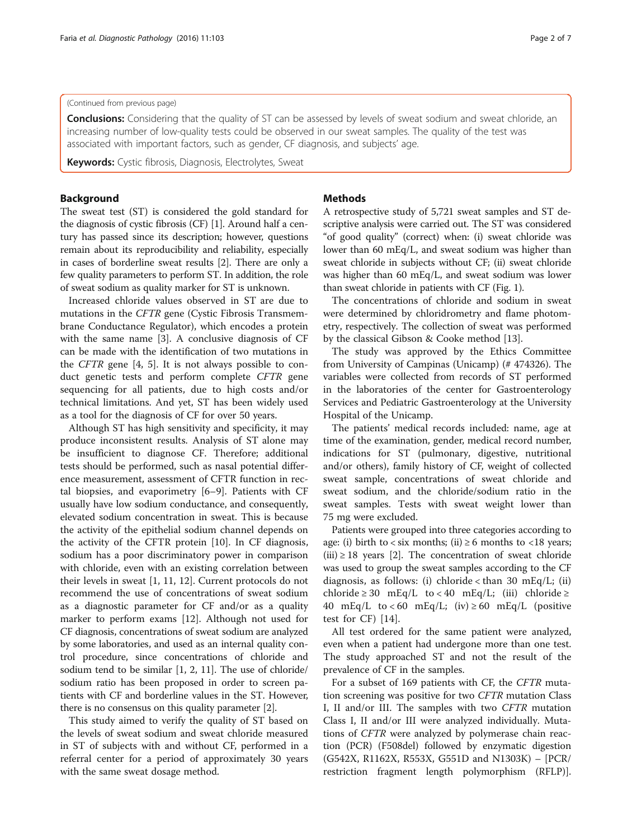#### (Continued from previous page)

Conclusions: Considering that the quality of ST can be assessed by levels of sweat sodium and sweat chloride, an increasing number of low-quality tests could be observed in our sweat samples. The quality of the test was associated with important factors, such as gender, CF diagnosis, and subjects' age.

Keywords: Cystic fibrosis, Diagnosis, Electrolytes, Sweat

## Background

The sweat test (ST) is considered the gold standard for the diagnosis of cystic fibrosis (CF) [\[1\]](#page-6-0). Around half a century has passed since its description; however, questions remain about its reproducibility and reliability, especially in cases of borderline sweat results [\[2\]](#page-6-0). There are only a few quality parameters to perform ST. In addition, the role of sweat sodium as quality marker for ST is unknown.

Increased chloride values observed in ST are due to mutations in the CFTR gene (Cystic Fibrosis Transmembrane Conductance Regulator), which encodes a protein with the same name [[3](#page-6-0)]. A conclusive diagnosis of CF can be made with the identification of two mutations in the CFTR gene [\[4, 5](#page-6-0)]. It is not always possible to conduct genetic tests and perform complete CFTR gene sequencing for all patients, due to high costs and/or technical limitations. And yet, ST has been widely used as a tool for the diagnosis of CF for over 50 years.

Although ST has high sensitivity and specificity, it may produce inconsistent results. Analysis of ST alone may be insufficient to diagnose CF. Therefore; additional tests should be performed, such as nasal potential difference measurement, assessment of CFTR function in rectal biopsies, and evaporimetry [[6](#page-6-0)–[9\]](#page-6-0). Patients with CF usually have low sodium conductance, and consequently, elevated sodium concentration in sweat. This is because the activity of the epithelial sodium channel depends on the activity of the CFTR protein [\[10](#page-6-0)]. In CF diagnosis, sodium has a poor discriminatory power in comparison with chloride, even with an existing correlation between their levels in sweat [[1, 11, 12\]](#page-6-0). Current protocols do not recommend the use of concentrations of sweat sodium as a diagnostic parameter for CF and/or as a quality marker to perform exams [[12](#page-6-0)]. Although not used for CF diagnosis, concentrations of sweat sodium are analyzed by some laboratories, and used as an internal quality control procedure, since concentrations of chloride and sodium tend to be similar [[1, 2, 11\]](#page-6-0). The use of chloride/ sodium ratio has been proposed in order to screen patients with CF and borderline values in the ST. However, there is no consensus on this quality parameter [\[2](#page-6-0)].

This study aimed to verify the quality of ST based on the levels of sweat sodium and sweat chloride measured in ST of subjects with and without CF, performed in a referral center for a period of approximately 30 years with the same sweat dosage method.

## Methods

A retrospective study of 5,721 sweat samples and ST descriptive analysis were carried out. The ST was considered "of good quality" (correct) when: (i) sweat chloride was lower than 60 mEq/L, and sweat sodium was higher than sweat chloride in subjects without CF; (ii) sweat chloride was higher than 60 mEq/L, and sweat sodium was lower than sweat chloride in patients with CF (Fig. [1](#page-2-0)).

The concentrations of chloride and sodium in sweat were determined by chloridrometry and flame photometry, respectively. The collection of sweat was performed by the classical Gibson & Cooke method [[13\]](#page-6-0).

The study was approved by the Ethics Committee from University of Campinas (Unicamp) (# 474326). The variables were collected from records of ST performed in the laboratories of the center for Gastroenterology Services and Pediatric Gastroenterology at the University Hospital of the Unicamp.

The patients' medical records included: name, age at time of the examination, gender, medical record number, indications for ST (pulmonary, digestive, nutritional and/or others), family history of CF, weight of collected sweat sample, concentrations of sweat chloride and sweat sodium, and the chloride/sodium ratio in the sweat samples. Tests with sweat weight lower than 75 mg were excluded.

Patients were grouped into three categories according to age: (i) birth to < six months; (ii)  $\geq 6$  months to <18 years;  $(iii) \geq 18$  years [\[2](#page-6-0)]. The concentration of sweat chloride was used to group the sweat samples according to the CF diagnosis, as follows: (i) chloride  $\langle$  than 30 mEq/L; (ii) chloride  $\geq$  30 mEq/L to < 40 mEq/L; (iii) chloride  $\geq$ 40 mEq/L to < 60 mEq/L; (iv)  $\geq$  60 mEq/L (positive test for CF) [[14\]](#page-6-0).

All test ordered for the same patient were analyzed, even when a patient had undergone more than one test. The study approached ST and not the result of the prevalence of CF in the samples.

For a subset of 169 patients with CF, the CFTR mutation screening was positive for two CFTR mutation Class I, II and/or III. The samples with two CFTR mutation Class I, II and/or III were analyzed individually. Mutations of CFTR were analyzed by polymerase chain reaction (PCR) (F508del) followed by enzymatic digestion (G542X, R1162X, R553X, G551D and N1303K) – [PCR/ restriction fragment length polymorphism (RFLP)].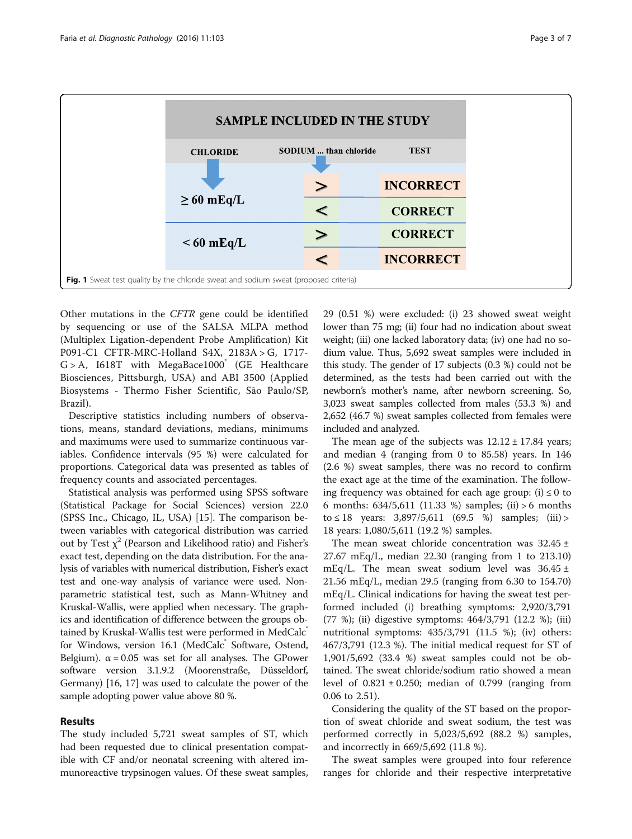<span id="page-2-0"></span>

Other mutations in the CFTR gene could be identified by sequencing or use of the SALSA MLPA method (Multiplex Ligation-dependent Probe Amplification) Kit P091-C1 CFTR-MRC-Holland S4X, 2183A > G, 1717-  $G > A$ , I618T with MegaBace1000 (GE Healthcare Biosciences, Pittsburgh, USA) and ABI 3500 (Applied Biosystems - Thermo Fisher Scientific, São Paulo/SP, Brazil).

Descriptive statistics including numbers of observations, means, standard deviations, medians, minimums and maximums were used to summarize continuous variables. Confidence intervals (95 %) were calculated for proportions. Categorical data was presented as tables of frequency counts and associated percentages.

Statistical analysis was performed using SPSS software (Statistical Package for Social Sciences) version 22.0 (SPSS Inc., Chicago, IL, USA) [\[15](#page-6-0)]. The comparison between variables with categorical distribution was carried out by Test  $\chi^2$  (Pearson and Likelihood ratio) and Fisher's exact test, depending on the data distribution. For the analysis of variables with numerical distribution, Fisher's exact test and one-way analysis of variance were used. Nonparametric statistical test, such as Mann-Whitney and Kruskal-Wallis, were applied when necessary. The graphics and identification of difference between the groups obtained by Kruskal-Wallis test were performed in MedCalc<sup>®</sup> for Windows, version 16.1 (MedCalc Software, Ostend, Belgium).  $\alpha$  = 0.05 was set for all analyses. The GPower software version 3.1.9.2 (Moorenstraße, Düsseldorf, Germany) [\[16, 17\]](#page-6-0) was used to calculate the power of the sample adopting power value above 80 %.

## Results

The study included 5,721 sweat samples of ST, which had been requested due to clinical presentation compatible with CF and/or neonatal screening with altered immunoreactive trypsinogen values. Of these sweat samples, 29 (0.51 %) were excluded: (i) 23 showed sweat weight lower than 75 mg; (ii) four had no indication about sweat weight; (iii) one lacked laboratory data; (iv) one had no sodium value. Thus, 5,692 sweat samples were included in this study. The gender of 17 subjects (0.3 %) could not be determined, as the tests had been carried out with the newborn's mother's name, after newborn screening. So, 3,023 sweat samples collected from males (53.3 %) and 2,652 (46.7 %) sweat samples collected from females were included and analyzed.

The mean age of the subjects was  $12.12 \pm 17.84$  years; and median 4 (ranging from 0 to 85.58) years. In 146 (2.6 %) sweat samples, there was no record to confirm the exact age at the time of the examination. The following frequency was obtained for each age group: (i)  $\leq 0$  to 6 months: 634/5,611 (11.33 %) samples; (ii) > 6 months to ≤ 18 years:  $3,897/5,611$  (69.5 %) samples; (iii) > 18 years: 1,080/5,611 (19.2 %) samples.

The mean sweat chloride concentration was 32.45 ± 27.67 mEq/L, median 22.30 (ranging from 1 to 213.10) mEq/L. The mean sweat sodium level was  $36.45 \pm$ 21.56 mEq/L, median 29.5 (ranging from 6.30 to 154.70) mEq/L. Clinical indications for having the sweat test performed included (i) breathing symptoms: 2,920/3,791 (77 %); (ii) digestive symptoms: 464/3,791 (12.2 %); (iii) nutritional symptoms: 435/3,791 (11.5 %); (iv) others: 467/3,791 (12.3 %). The initial medical request for ST of 1,901/5,692 (33.4 %) sweat samples could not be obtained. The sweat chloride/sodium ratio showed a mean level of  $0.821 \pm 0.250$ ; median of 0.799 (ranging from 0.06 to 2.51).

Considering the quality of the ST based on the proportion of sweat chloride and sweat sodium, the test was performed correctly in 5,023/5,692 (88.2 %) samples, and incorrectly in 669/5,692 (11.8 %).

The sweat samples were grouped into four reference ranges for chloride and their respective interpretative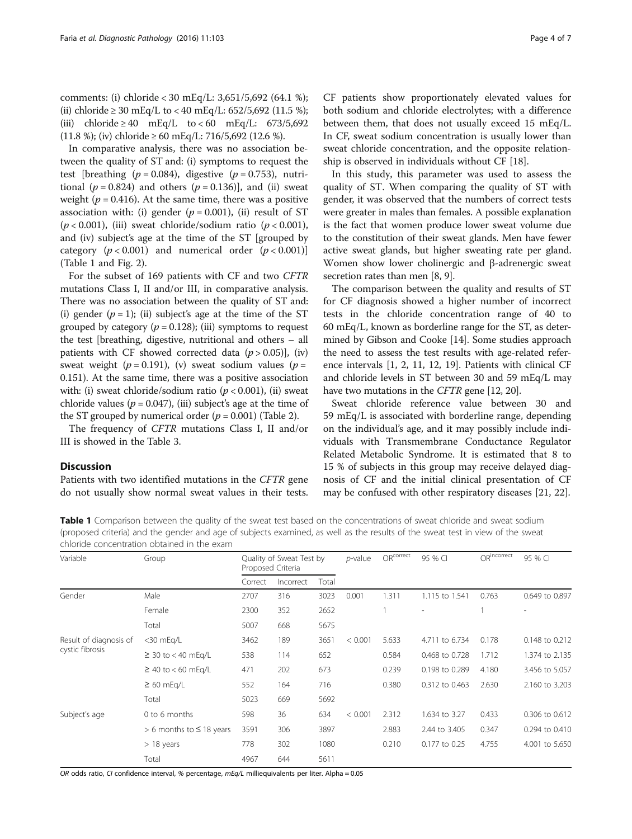comments: (i) chloride < 30 mEq/L: 3,651/5,692 (64.1 %); (ii) chloride  $\geq 30$  mEq/L to < 40 mEq/L: 652/5,692 (11.5 %); (iii) chloride  $\geq 40$  mEq/L to < 60 mEq/L: 673/5,692 (11.8 %); (iv) chloride  $\geq 60$  mEq/L: 716/5,692 (12.6 %).

In comparative analysis, there was no association between the quality of ST and: (i) symptoms to request the test [breathing ( $p = 0.084$ ), digestive ( $p = 0.753$ ), nutritional ( $p = 0.824$ ) and others ( $p = 0.136$ ), and (ii) sweat weight ( $p = 0.416$ ). At the same time, there was a positive association with: (i) gender ( $p = 0.001$ ), (ii) result of ST ( $p < 0.001$ ), (iii) sweat chloride/sodium ratio ( $p < 0.001$ ), and (iv) subject's age at the time of the ST [grouped by category  $(p < 0.001)$  and numerical order  $(p < 0.001)$ (Table 1 and Fig. [2](#page-4-0)).

For the subset of 169 patients with CF and two CFTR mutations Class I, II and/or III, in comparative analysis. There was no association between the quality of ST and: (i) gender  $(p = 1)$ ; (ii) subject's age at the time of the ST grouped by category ( $p = 0.128$ ); (iii) symptoms to request the test [breathing, digestive, nutritional and others – all patients with CF showed corrected data  $(p > 0.05)$ ], (iv) sweat weight ( $p = 0.191$ ), (v) sweat sodium values ( $p =$ 0.151). At the same time, there was a positive association with: (i) sweat chloride/sodium ratio ( $p < 0.001$ ), (ii) sweat chloride values ( $p = 0.047$ ), (iii) subject's age at the time of the ST grouped by numerical order  $(p = 0.001)$  (Table [2\)](#page-4-0).

The frequency of CFTR mutations Class I, II and/or III is showed in the Table [3](#page-5-0).

### **Discussion**

Patients with two identified mutations in the CFTR gene do not usually show normal sweat values in their tests. CF patients show proportionately elevated values for both sodium and chloride electrolytes; with a difference between them, that does not usually exceed 15 mEq/L. In CF, sweat sodium concentration is usually lower than sweat chloride concentration, and the opposite relationship is observed in individuals without CF [\[18](#page-6-0)].

In this study, this parameter was used to assess the quality of ST. When comparing the quality of ST with gender, it was observed that the numbers of correct tests were greater in males than females. A possible explanation is the fact that women produce lower sweat volume due to the constitution of their sweat glands. Men have fewer active sweat glands, but higher sweating rate per gland. Women show lower cholinergic and β-adrenergic sweat secretion rates than men [\[8](#page-6-0), [9\]](#page-6-0).

The comparison between the quality and results of ST for CF diagnosis showed a higher number of incorrect tests in the chloride concentration range of 40 to 60 mEq/L, known as borderline range for the ST, as determined by Gibson and Cooke [\[14\]](#page-6-0). Some studies approach the need to assess the test results with age-related reference intervals [[1](#page-6-0), [2](#page-6-0), [11](#page-6-0), [12, 19](#page-6-0)]. Patients with clinical CF and chloride levels in ST between 30 and 59 mEq/L may have two mutations in the *CFTR* gene [\[12, 20](#page-6-0)].

Sweat chloride reference value between 30 and 59 mEq/L is associated with borderline range, depending on the individual's age, and it may possibly include individuals with Transmembrane Conductance Regulator Related Metabolic Syndrome. It is estimated that 8 to 15 % of subjects in this group may receive delayed diagnosis of CF and the initial clinical presentation of CF may be confused with other respiratory diseases [[21](#page-6-0), [22](#page-6-0)].

Table 1 Comparison between the quality of the sweat test based on the concentrations of sweat chloride and sweat sodium (proposed criteria) and the gender and age of subjects examined, as well as the results of the sweat test in view of the sweat chloride concentration obtained in the exam

| Variable                                  | Group                           | Quality of Sweat Test by<br>Proposed Criteria |           |       | $p$ -value | ORcorrect | 95 % CI        | ORincorrect | 95 % CI                  |
|-------------------------------------------|---------------------------------|-----------------------------------------------|-----------|-------|------------|-----------|----------------|-------------|--------------------------|
|                                           |                                 | Correct                                       | Incorrect | Total |            |           |                |             |                          |
| Gender                                    | Male                            | 2707                                          | 316       | 3023  | 0.001      | 1.311     | 1.115 to 1.541 | 0.763       | 0.649 to 0.897           |
|                                           | Female                          | 2300                                          | 352       | 2652  |            |           |                |             | $\overline{\phantom{0}}$ |
|                                           | Total                           | 5007                                          | 668       | 5675  |            |           |                |             |                          |
| Result of diagnosis of<br>cystic fibrosis | $<$ 30 mEg/L                    | 3462                                          | 189       | 3651  | < 0.001    | 5.633     | 4.711 to 6.734 | 0.178       | 0.148 to 0.212           |
|                                           | $\geq$ 30 to < 40 mEq/L         | 538                                           | 114       | 652   |            | 0.584     | 0.468 to 0.728 | 1.712       | 1.374 to 2.135           |
|                                           | $\geq$ 40 to < 60 mEg/L         | 471                                           | 202       | 673   |            | 0.239     | 0.198 to 0.289 | 4.180       | 3.456 to 5.057           |
|                                           | $\geq 60$ mEg/L                 | 552                                           | 164       | 716   |            | 0.380     | 0.312 to 0.463 | 2.630       | 2.160 to 3.203           |
|                                           | Total                           | 5023                                          | 669       | 5692  |            |           |                |             |                          |
| Subject's age                             | 0 to 6 months                   | 598                                           | 36        | 634   | < 0.001    | 2.312     | 1.634 to 3.27  | 0.433       | 0.306 to 0.612           |
|                                           | $> 6$ months to $\leq 18$ years | 3591                                          | 306       | 3897  |            | 2.883     | 2.44 to 3.405  | 0.347       | 0.294 to 0.410           |
|                                           | $> 18$ years                    | 778                                           | 302       | 1080  |            | 0.210     | 0.177 to 0.25  | 4.755       | 4.001 to 5.650           |
|                                           | Total                           | 4967                                          | 644       | 5611  |            |           |                |             |                          |

OR odds ratio, CI confidence interval, % percentage,  $mEq/L$  milliequivalents per liter. Alpha = 0.05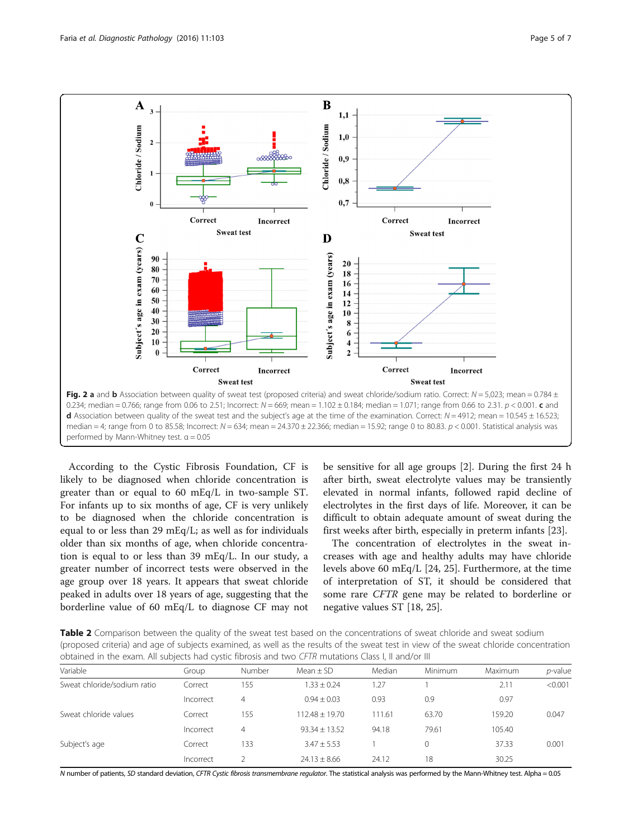<span id="page-4-0"></span>

According to the Cystic Fibrosis Foundation, CF is likely to be diagnosed when chloride concentration is greater than or equal to 60 mEq/L in two-sample ST. For infants up to six months of age, CF is very unlikely to be diagnosed when the chloride concentration is equal to or less than 29 mEq/L; as well as for individuals older than six months of age, when chloride concentration is equal to or less than 39 mEq/L. In our study, a greater number of incorrect tests were observed in the age group over 18 years. It appears that sweat chloride peaked in adults over 18 years of age, suggesting that the borderline value of 60 mEq/L to diagnose CF may not

be sensitive for all age groups [[2\]](#page-6-0). During the first 24 h after birth, sweat electrolyte values may be transiently elevated in normal infants, followed rapid decline of electrolytes in the first days of life. Moreover, it can be difficult to obtain adequate amount of sweat during the first weeks after birth, especially in preterm infants [[23](#page-6-0)].

The concentration of electrolytes in the sweat increases with age and healthy adults may have chloride levels above 60 mEq/L [[24](#page-6-0), [25](#page-6-0)]. Furthermore, at the time of interpretation of ST, it should be considered that some rare CFTR gene may be related to borderline or negative values ST [[18, 25\]](#page-6-0).

Table 2 Comparison between the quality of the sweat test based on the concentrations of sweat chloride and sweat sodium (proposed criteria) and age of subjects examined, as well as the results of the sweat test in view of the sweat chloride concentration obtained in the exam. All subjects had cystic fibrosis and two CFTR mutations Class I, II and/or III

| Variable                    | Group     | Number | Mean $\pm$ SD      | Median | Minimum | Maximum | <i>p</i> -value |
|-----------------------------|-----------|--------|--------------------|--------|---------|---------|-----------------|
| Sweat chloride/sodium ratio | Correct   | 155    | $1.33 \pm 0.24$    | 1.27   |         | 2.11    | < 0.001         |
|                             | Incorrect | 4      | $0.94 + 0.03$      | 0.93   | 0.9     | 0.97    |                 |
| Sweat chloride values       | Correct   | 155    | $112.48 \pm 19.70$ | 111.61 | 63.70   | 159.20  | 0.047           |
|                             | Incorrect | 4      | $93.34 + 13.52$    | 94.18  | 79.61   | 105.40  |                 |
| Subject's age               | Correct   | 133    | $3.47 \pm 5.53$    |        |         | 37.33   | 0.001           |
|                             | Incorrect |        | $24.13 \pm 8.66$   | 24.12  | 18      | 30.25   |                 |

N number of patients, SD standard deviation, CFTR Cystic fibrosis transmembrane regulator. The statistical analysis was performed by the Mann-Whitney test. Alpha = 0.05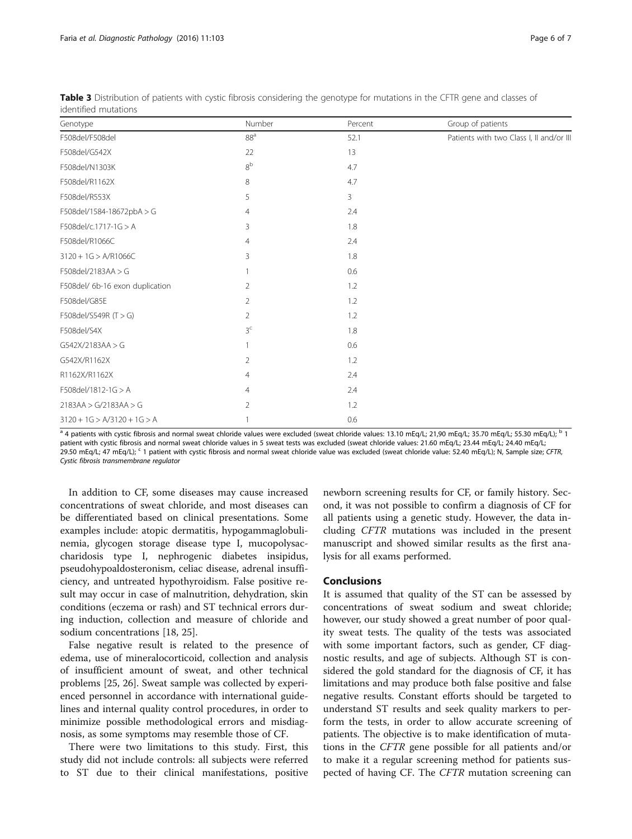| Genotype                        | Number          | Percent      | Group of patients                        |  |
|---------------------------------|-----------------|--------------|------------------------------------------|--|
| F508del/F508del                 | 88 <sup>a</sup> | 52.1         | Patients with two Class I, II and/or III |  |
| F508del/G542X                   | 22              | 13           |                                          |  |
| F508del/N1303K                  | 8 <sup>b</sup>  | 4.7          |                                          |  |
| F508del/R1162X                  | 8               | 4.7          |                                          |  |
| F508del/R553X                   | 5               | $\mathbf{3}$ |                                          |  |
| F508del/1584-18672pbA > G       | 4               | 2.4          |                                          |  |
| F508del/c.1717-1G > A           | 3               | 1.8          |                                          |  |
| F508del/R1066C                  | 4               | 2.4          |                                          |  |
| $3120 + 1G > A/R1066C$          | 3               | 1.8          |                                          |  |
| F508del/2183AA > G              |                 | 0.6          |                                          |  |
| F508del/ 6b-16 exon duplication | 2               | 1.2          |                                          |  |
| F508del/G85E                    | $\overline{2}$  | 1.2          |                                          |  |
| F508del/S549R $(T > G)$         | $\overline{2}$  | 1.2          |                                          |  |
| F508del/S4X                     | 3 <sup>c</sup>  | 1.8          |                                          |  |
| G542X/2183AA > G                |                 | 0.6          |                                          |  |
| G542X/R1162X                    | 2               | 1.2          |                                          |  |
| R1162X/R1162X                   | $\overline{4}$  | 2.4          |                                          |  |
| F508del/1812-1G > A             | 4               | 2.4          |                                          |  |
| 2183AA > G/2183AA > G           | $\overline{2}$  | 1.2          |                                          |  |
| $3120 + 1G > A/3120 + 1G > A$   |                 | 0.6          |                                          |  |

<span id="page-5-0"></span>Table 3 Distribution of patients with cystic fibrosis considering the genotype for mutations in the CFTR gene and classes of identified mutations

 $\frac{1}{9}$  4 patients with cystic fibrosis and normal sweat chloride values were excluded (sweat chloride values: 13.10 mEq/L; 21,90 mEq/L; 35.70 mEq/L; 55.30 mEq/L;  $\frac{1}{10}$ patient with cystic fibrosis and normal sweat chloride values in 5 sweat tests was excluded (sweat chloride values: 21.60 mEq/L; 23.44 mEq/L; 24.40 mEq/L; 29.50 mEq/L; 47 mEq/L); <sup>c</sup> 1 patient with cystic fibrosis and normal sweat chloride value was excluded (sweat chloride value: 52.40 mEq/L); N, Sample size; CFTR, Cystic fibrosis transmembrane reaulator Cystic fibrosis transmembrane regulator

In addition to CF, some diseases may cause increased concentrations of sweat chloride, and most diseases can be differentiated based on clinical presentations. Some examples include: atopic dermatitis, hypogammaglobulinemia, glycogen storage disease type I, mucopolysaccharidosis type I, nephrogenic diabetes insipidus, pseudohypoaldosteronism, celiac disease, adrenal insufficiency, and untreated hypothyroidism. False positive result may occur in case of malnutrition, dehydration, skin conditions (eczema or rash) and ST technical errors during induction, collection and measure of chloride and sodium concentrations [\[18](#page-6-0), [25](#page-6-0)].

False negative result is related to the presence of edema, use of mineralocorticoid, collection and analysis of insufficient amount of sweat, and other technical problems [[25, 26\]](#page-6-0). Sweat sample was collected by experienced personnel in accordance with international guidelines and internal quality control procedures, in order to minimize possible methodological errors and misdiagnosis, as some symptoms may resemble those of CF.

There were two limitations to this study. First, this study did not include controls: all subjects were referred to ST due to their clinical manifestations, positive

newborn screening results for CF, or family history. Second, it was not possible to confirm a diagnosis of CF for all patients using a genetic study. However, the data including CFTR mutations was included in the present manuscript and showed similar results as the first analysis for all exams performed.

## Conclusions

It is assumed that quality of the ST can be assessed by concentrations of sweat sodium and sweat chloride; however, our study showed a great number of poor quality sweat tests. The quality of the tests was associated with some important factors, such as gender, CF diagnostic results, and age of subjects. Although ST is considered the gold standard for the diagnosis of CF, it has limitations and may produce both false positive and false negative results. Constant efforts should be targeted to understand ST results and seek quality markers to perform the tests, in order to allow accurate screening of patients. The objective is to make identification of mutations in the CFTR gene possible for all patients and/or to make it a regular screening method for patients suspected of having CF. The CFTR mutation screening can